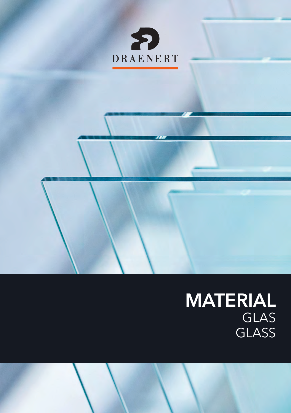

# MATERIAL GLAS **GLASS**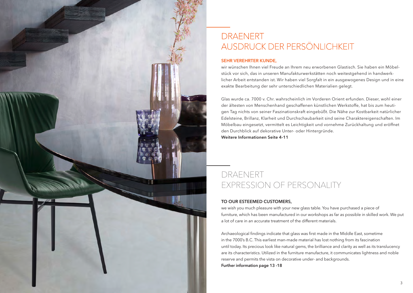

## **DRAENERT** AUSDRUCK DER PERSÖNLICHKEIT

### SEHR VEREHRTER KUNDE,

wir wünschen Ihnen viel Freude an Ihrem neu erworbenen Glastisch. Sie haben ein Möbelstück vor sich, das in unseren Manufakturwerkstätten noch weitestgehend in handwerklicher Arbeit entstanden ist. Wir haben viel Sorgfalt in ein ausgewogenes Design und in eine exakte Bearbeitung der sehr unterschiedlichen Materialien gelegt.

Glas wurde ca. 7000 v. Chr. wahrscheinlich im Vorderen Orient erfunden. Dieser, wohl einer der ältesten von Menschenhand geschaffenen künstlichen Werkstoffe, hat bis zum heutigen Tag nichts von seiner Faszinationskraft eingebüßt. Die Nähe zur Kostbarkeit natürlicher Edelsteine, Brillanz, Klarheit und Durchschaubarkeit sind seine Charaktereigenschaften. Im Möbelbau eingesetzt, vermittelt es Leichtigkeit und vornehme Zurückhaltung und eröffnet den Durchblick auf dekorative Unter- oder Hintergründe.

Weitere Informationen Seite 4-11

## DRAENERT EXPRESSION OF PERSONALITY

### TO OUR ESTEEMED CUSTOMERS,

we wish you much pleasure with your new glass table. You have purchased a piece of furniture, which has been manufactured in our workshops as far as possible in skilled work. We put a lot of care in an accurate treatment of the different materials.

Archaeological findings indicate that glass was first made in the Middle East, sometime in the 7000's B.C. This earliest man-made material has lost nothing from its fascination until today. Its precious look like natural gems, the brilliance and clarity as well as its translucency are its characteristics. Utilized in the furniture manufacture, it communicates lightness and noble reserve and permits the vista on decorative under- and backgrounds. Further information page 13 -18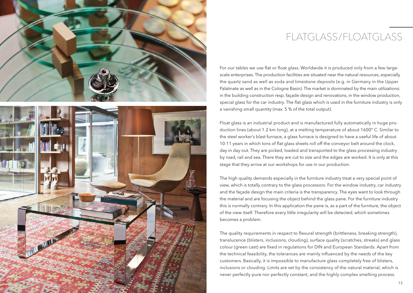



# FLATGLASS/FLOATGLASS

For our tables we use flat or float glass. Worldwide it is produced only from a few largescale enterprises. The production facilities are situated near the natural resources, especially the quartz sand as well as soda and limestone deposits (e.g. in Germany in the Upper Palatinate as well as in the Cologne Basin). The market is dominated by the main utilizations: in the building construction resp. façade design and renovations, in the window production, special glass for the car industry. The flat glass which is used in the furniture industry is only a vanishing small quantity (max. 5 % of the total output).

Float glass is an industrial product and is manufactured fully automatically in huge production lines (about 1.2 km long), at a melting temperature of about 1600° C. Similar to the steel worker's blast furnace, a glass furnace is designed to have a useful life of about 10-11 years in which tons of flat glass sheets roll off the conveyor belt around the clock, day in day out. They are picked, loaded and transported to the glass processing industry by road, rail and sea. There they are cut to size and the edges are worked. It is only at this stage that they arrive at our workshops for use in our production.

The high quality demands especially in the furniture industry treat a very special point of view, which is totally contrary to the glass processors. For the window industry, car industry and the façade design the main criteria is the transparency. The eyes want to look through the material and are focusing the object behind the glass pane. For the furniture industry this is normally contrary. In this application the pane is, as a part of the furniture, the object of the view itself. Therefore every little irregularity will be detected, which sometimes becomes a problem.

The quality requirements in respect to flexural strength (brittleness, breaking strength), translucence (blisters, inclusions, clouding), surface quality (scratches, streaks) and glass colour (green cast) are fixed in regulations for DIN and European Standards. Apart from the technical feasibility, the tolerances are mainly influenced by the needs of the key customers. Basically, it is impossible to manufacture glass completely free of blisters, inclusions or clouding. Limits are set by the consistency of the natural material, which is never perfectly pure nor perfectly constant, and the highly complex smelting process.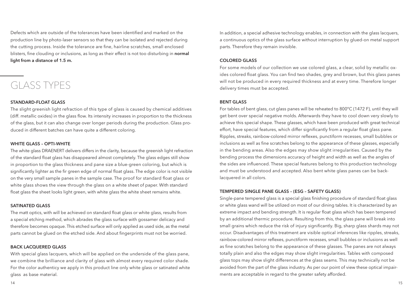Defects which are outside of the tolerances have been identified and marked on the production line by photo-laser sensors so that they can be isolated and rejected during the cutting process. Inside the tolerance are fine, hairline scratches, small enclosed blisters, fine clouding or inclusions, as long as their effect is not too disturbing in **normal** light from a distance of 1.5 m.

# GLASS TYPES

### STANDARD-FLOAT GLASS

The slight greenish light refraction of this type of glass is caused by chemical additives (diff. metallic oxides) in the glass flow. Its intensity increases in proportion to the thickness of the glass, but it can also change over longer periods during the production. Glass produced in different batches can have quite a different coloring.

### WHITE GLASS – OPTI-WHITE

The white glass DRAENERT delivers differs in the clarity, because the greenish light refraction of the standard float glass has disappeared almost completely. The glass edges still show in proportion to the glass thickness and pane size a blue-green coloring, but which is significantly lighter as the fir green edge of normal float glass. The edge color is not visible on the very small sample panes in the sample case. The proof for standard float glass or white glass shows the view through the glass on a white sheet of paper. With standard float glass the sheet looks light green, with white glass the white sheet remains white.

#### SATINATED GLASS

The matt optics, with will be achieved on standard float glass or white glass, results from a special etching method, which abrades the glass surface with gossamer delicacy and therefore becomes opaque. This etched surface will only applied as used side, as the metal parts cannot be glued on the etched side. And about fingerprints must not be worried.

### BACK LACQUERED GLASS

With special glass lacquers, which will be applied on the underside of the glass pane, we combine the brilliance and clarity of glass with almost every required color shade. For the color authenticy we apply in this product line only white glass or satinated white glass as base material.

In addition, a special adhesive technology enables, in connection with the glass lacquers, a continuous optics of the glass surface without interruption by glued-on metal support parts. Therefore they remain invisible.

### COLORED GLASS

For some models of our collection we use colored glass, a clear, solid by metallic oxides colored float glass. You can find two shades, grey and brown, but this glass panes will not be produced in every required thickness and at every time. Therefore longer delivery times must be accepted.

### BENT GLASS

For tables of bent glass, cut glass panes will be reheated to 800°C (1472 F), until they will get bent over special negative molds. Afterwards they have to cool down very slowly to achieve this special shape. These glasses, which have been produced with great technical effort, have special features, which differ significantly from a regular float glass pane. Ripples, streaks, rainbow-colored mirror reflexes, punctiform recesses, small bubbles or inclusions as well as fine scratches belong to the appearance of these glasses, especially in the bending areas. Also the edges may show slight irregularities. Caused by the bending process the dimensions accuracy of height and width as well as the angles of the sides are influenced. These special features belong to this production technology and must be understood and accepted. Also bent white glass panes can be backlacquered in all colors.

### TEMPERED SINGLE PANE GLASS – (ESG – SAFETY GLASS)

Single-pane tempered glass is a special glass finishing procedure of standard float glass or white glass wand will be utilized on most of our dining tables. It is characterized by an extreme impact and bending strength. It is regular float glass which has been tempered by an additional thermic procedure. Resulting from this, the glass pane will break into small grains which reduce the risk of injury significantly. Big, sharp glass shards may not occur. Disadvantages of this treatment are visible optical inferences like ripples, streaks, rainbow-colored mirror reflexes, punctiform recesses, small bubbles or inclusions as well as fine scratches belong to the appearance of these glasses. The panes are not always totally plain and also the edges may show slight irregularities. Tables with composed glass tops may show slight differences at the glass seams. This may technically not be avoided from the part of the glass industry. As per our point of view these optical impairments are acceptable in regard to the greater safety afforded.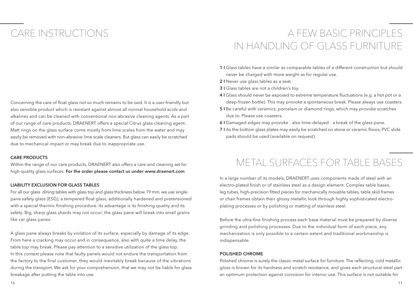# CARE INSTRUCTIONS

Concerning the care of float glass not so much remains to be said. It is a user-friendly but also sensible product which is resistant against almost all normal household acids and alkalines and can be cleaned with conventional non-abrasive cleaning agents. As a part of our range of care products, DRAENERT offers a special Citrus glass cleaning agent. Matt rings on the glass surface come mostly from lime scales from the water and may easily be removed with non-abrasive lime scale cleaners. But glass can easily be scratched due to mechanical impact or may break due to inappropriate use.

#### CARE PRODUCTS

Within the range of our care products, DRAENERT also offers a care and cleaning set for high-quality glass surfaces. For the order please contact us under www.draenert.com

#### LIABILITY EXCLUSION FOR GLASS TABLES

For all our glass dining tables with glass top and glass thickness below 19 mm, we use singlepane safety glass (ESG), a tempered float glass, additionally hardened and pretensioned with a special thermic finishing procedure. Its advantage is its finishing quality and its safety. Big, sharp glass shards may not occur; the glass pane will break into small grains like car glass panes.

A glass pane always breaks by violation of its surface, especially by damage of its edge. From here a cracking may occur and in consequence, also with quite a time delay, the table top may break. Please pay attention to a sensitive utilization of the glass top. In this context please note that faulty panels would not endure the transportation from the factory to the final customer, they would inevitably break because of the vibrations during the transport. We ask for your comprehension, that we may not be liable for glass breakage after putting the table into use.

# A FEW BASIC PRINCIPLES IN HANDLING OF GLASS FURNITURE

- 1 I Glass tables have a similar as comparable tables of a different construction but should never be charged with more weight as for regular use.
- 2 I Never use glass tables as a seat.
- 3 I Glass tables are not a children's tov.
- 4 I Glass should never be exposed to extreme temperature fluctuations (e.g. a hot pot or a deep-frozen bottle). This may provoke a spontaneous break. Please always use coasters.
- 5 I Be careful with ceramics, porcelain or diamond rings, which may provoke scratches due to. Please use coasters.
- 6 I Damaged edges may provoke also time-delayed a break of the glass pane.
- 7 I As the bottom glass plates may easily be scratched on stone or ceramic floors, PVC slide pads should be used (available on request).

## METAL SURFACES FOR TABLE BASES

In a large number of its models, DRAENERT uses components made of steel with an electro-plated finish or of stainless steel as a design element. Complex table bases, leg tubes, high-precision fitted pieces for mechanically movable tables, table skid frames or chair frames obtain their glossy metallic look through highly sophisticated electroplating processes or by polishing or matting of stainless steel.

Before the ultra-fine finishing process each base material must be prepared by diverse grinding and polishing processes. Due to the individual form of each piece, any mechanization is only possible to a certain extent and traditional workmanship is indispensable.

#### POLISHED CHROME

Polished chrome is surely the classic metal surface for furniture. The reflecting, cold metallic gloss is known for its hardness and scratch resistance, and gives each structural steel part an optimum protection against corrosion for interior use. This surface is not suitable for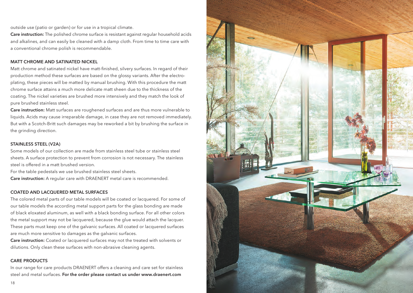outside use (patio or garden) or for use in a tropical climate.

Care instruction: The polished chrome surface is resistant against regular household acids and alkalines, and can easily be cleaned with a damp cloth. From time to time care with a conventional chrome polish is recommendable.

#### MATT CHROME AND SATINATED NICKEL

Matt chrome and satinated nickel have matt-finished, silvery surfaces. In regard of their production method these surfaces are based on the glossy variants. After the electroplating, these pieces will be matted by manual brushing. With this procedure the matt chrome surface attains a much more delicate matt sheen due to the thickness of the coating. The nickel varieties are brushed more intensively and they match the look of pure brushed stainless steel.

Care instruction: Matt surfaces are roughened surfaces and are thus more vulnerable to liquids. Acids may cause irreparable damage, in case they are not removed immediately. But with a Scotch-Britt such damages may be reworked a bit by brushing the surface in the grinding direction.

#### STAINLESS STEEL (V2A)

Some models of our collection are made from stainless steel tube or stainless steel sheets. A surface protection to prevent from corrosion is not necessary. The stainless steel is offered in a matt brushed version.

For the table pedestals we use brushed stainless steel sheets.

Care instruction: A regular care with DRAENERT metal care is recommended.

#### COATED AND LACQUERED METAL SURFACES

The colored metal parts of our table models will be coated or lacquered. For some of our table models the according metal support parts for the glass bonding are made of black eloxated aluminum, as well with a black bonding surface. For all other colors the metal support may not be lacquered, because the glue would attach the lacquer. These parts must keep one of the galvanic surfaces. All coated or lacquered surfaces are much more sensitive to damages as the galvanic surfaces.

Care instruction: Coated or lacquered surfaces may not the treated with solvents or dilutions. Only clean these surfaces with non-abrasive cleaning agents.

### CARE PRODUCTS

In our range for care products DRAENERT offers a cleaning and care set for stainless steel and metal surfaces. For the order please contact us under www.draenert.com